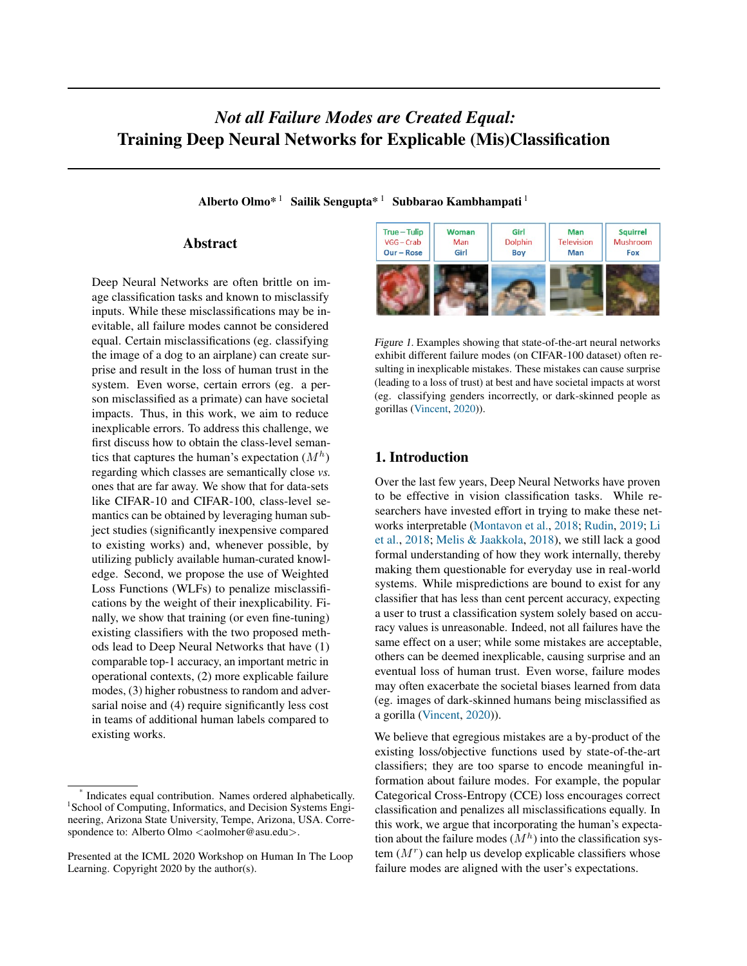# <span id="page-0-0"></span>*Not all Failure Modes are Created Equal:* Training Deep Neural Networks for Explicable (Mis)Classification

Alberto Olmo\*<sup>1</sup> Sailik Sengupta<sup>\* 1</sup> Subbarao Kambhampati<sup>1</sup>

# Abstract

Deep Neural Networks are often brittle on image classification tasks and known to misclassify inputs. While these misclassifications may be inevitable, all failure modes cannot be considered equal. Certain misclassifications (eg. classifying the image of a dog to an airplane) can create surprise and result in the loss of human trust in the system. Even worse, certain errors (eg. a person misclassified as a primate) can have societal impacts. Thus, in this work, we aim to reduce inexplicable errors. To address this challenge, we first discuss how to obtain the class-level semantics that captures the human's expectation  $(M<sup>h</sup>)$ regarding which classes are semantically close *vs.* ones that are far away. We show that for data-sets like CIFAR-10 and CIFAR-100, class-level semantics can be obtained by leveraging human subject studies (significantly inexpensive compared to existing works) and, whenever possible, by utilizing publicly available human-curated knowledge. Second, we propose the use of Weighted Loss Functions (WLFs) to penalize misclassifications by the weight of their inexplicability. Finally, we show that training (or even fine-tuning) existing classifiers with the two proposed methods lead to Deep Neural Networks that have (1) comparable top-1 accuracy, an important metric in operational contexts, (2) more explicable failure modes, (3) higher robustness to random and adversarial noise and (4) require significantly less cost in teams of additional human labels compared to existing works.



Figure 1. Examples showing that state-of-the-art neural networks exhibit different failure modes (on CIFAR-100 dataset) often resulting in inexplicable mistakes. These mistakes can cause surprise (leading to a loss of trust) at best and have societal impacts at worst (eg. classifying genders incorrectly, or dark-skinned people as gorillas [\(Vincent,](#page-9-0) [2020\)](#page-9-0)).

# 1. Introduction

Over the last few years, Deep Neural Networks have proven to be effective in vision classification tasks. While researchers have invested effort in trying to make these networks interpretable [\(Montavon et al.,](#page-8-0) [2018;](#page-8-0) [Rudin,](#page-8-0) [2019;](#page-8-0) [Li](#page-8-0) [et al.,](#page-8-0) [2018;](#page-8-0) [Melis & Jaakkola,](#page-8-0) [2018\)](#page-8-0), we still lack a good formal understanding of how they work internally, thereby making them questionable for everyday use in real-world systems. While mispredictions are bound to exist for any classifier that has less than cent percent accuracy, expecting a user to trust a classification system solely based on accuracy values is unreasonable. Indeed, not all failures have the same effect on a user; while some mistakes are acceptable, others can be deemed inexplicable, causing surprise and an eventual loss of human trust. Even worse, failure modes may often exacerbate the societal biases learned from data (eg. images of dark-skinned humans being misclassified as a gorilla [\(Vincent,](#page-9-0) [2020\)](#page-9-0)).

We believe that egregious mistakes are a by-product of the existing loss/objective functions used by state-of-the-art classifiers; they are too sparse to encode meaningful information about failure modes. For example, the popular Categorical Cross-Entropy (CCE) loss encourages correct classification and penalizes all misclassifications equally. In this work, we argue that incorporating the human's expectation about the failure modes  $(M<sup>h</sup>)$  into the classification system  $(M<sup>r</sup>)$  can help us develop explicable classifiers whose failure modes are aligned with the user's expectations.

<sup>\*</sup> Indicates equal contribution. Names ordered alphabetically. <sup>1</sup> School of Computing, Informatics, and Decision Systems Engineering, Arizona State University, Tempe, Arizona, USA. Correspondence to: Alberto Olmo <aolmoher@asu.edu>.

Presented at the ICML 2020 Workshop on Human In The Loop Learning. Copyright 2020 by the author(s).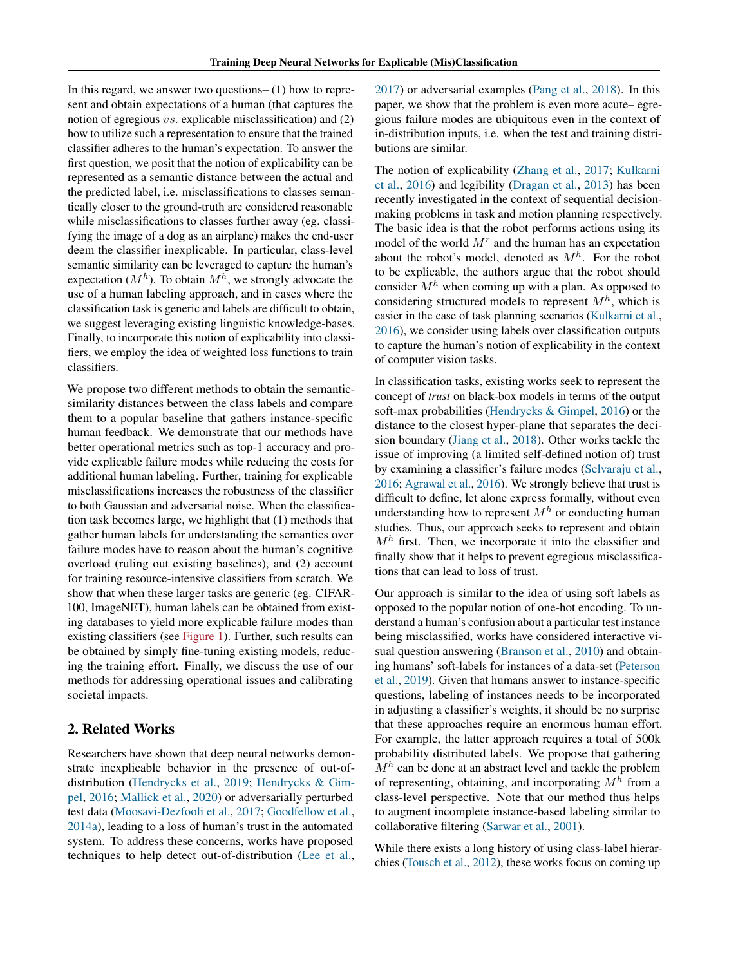In this regard, we answer two questions– (1) how to represent and obtain expectations of a human (that captures the notion of egregious vs. explicable misclassification) and (2) how to utilize such a representation to ensure that the trained classifier adheres to the human's expectation. To answer the first question, we posit that the notion of explicability can be represented as a semantic distance between the actual and the predicted label, i.e. misclassifications to classes semantically closer to the ground-truth are considered reasonable while misclassifications to classes further away (eg. classifying the image of a dog as an airplane) makes the end-user deem the classifier inexplicable. In particular, class-level semantic similarity can be leveraged to capture the human's expectation ( $M^h$ ). To obtain  $M^h$ , we strongly advocate the use of a human labeling approach, and in cases where the classification task is generic and labels are difficult to obtain, we suggest leveraging existing linguistic knowledge-bases. Finally, to incorporate this notion of explicability into classifiers, we employ the idea of weighted loss functions to train classifiers.

We propose two different methods to obtain the semanticsimilarity distances between the class labels and compare them to a popular baseline that gathers instance-specific human feedback. We demonstrate that our methods have better operational metrics such as top-1 accuracy and provide explicable failure modes while reducing the costs for additional human labeling. Further, training for explicable misclassifications increases the robustness of the classifier to both Gaussian and adversarial noise. When the classification task becomes large, we highlight that (1) methods that gather human labels for understanding the semantics over failure modes have to reason about the human's cognitive overload (ruling out existing baselines), and (2) account for training resource-intensive classifiers from scratch. We show that when these larger tasks are generic (eg. CIFAR-100, ImageNET), human labels can be obtained from existing databases to yield more explicable failure modes than existing classifiers (see [Figure 1\)](#page-0-0). Further, such results can be obtained by simply fine-tuning existing models, reducing the training effort. Finally, we discuss the use of our methods for addressing operational issues and calibrating societal impacts.

# 2. Related Works

Researchers have shown that deep neural networks demonstrate inexplicable behavior in the presence of out-ofdistribution [\(Hendrycks et al.,](#page-8-0) [2019;](#page-8-0) [Hendrycks & Gim](#page-8-0)[pel,](#page-8-0) [2016;](#page-8-0) [Mallick et al.,](#page-8-0) [2020\)](#page-8-0) or adversarially perturbed test data [\(Moosavi-Dezfooli et al.,](#page-8-0) [2017;](#page-8-0) [Goodfellow et al.,](#page-8-0) [2014a\)](#page-8-0), leading to a loss of human's trust in the automated system. To address these concerns, works have proposed techniques to help detect out-of-distribution [\(Lee et al.,](#page-8-0) [2017\)](#page-8-0) or adversarial examples [\(Pang et al.,](#page-8-0) [2018\)](#page-8-0). In this paper, we show that the problem is even more acute– egregious failure modes are ubiquitous even in the context of in-distribution inputs, i.e. when the test and training distributions are similar.

The notion of explicability [\(Zhang et al.,](#page-9-0) [2017;](#page-9-0) [Kulkarni](#page-8-0) [et al.,](#page-8-0) [2016\)](#page-8-0) and legibility [\(Dragan et al.,](#page-8-0) [2013\)](#page-8-0) has been recently investigated in the context of sequential decisionmaking problems in task and motion planning respectively. The basic idea is that the robot performs actions using its model of the world  $M<sup>r</sup>$  and the human has an expectation about the robot's model, denoted as  $M<sup>h</sup>$ . For the robot to be explicable, the authors argue that the robot should consider  $M<sup>h</sup>$  when coming up with a plan. As opposed to considering structured models to represent  $M<sup>h</sup>$ , which is easier in the case of task planning scenarios [\(Kulkarni et al.,](#page-8-0) [2016\)](#page-8-0), we consider using labels over classification outputs to capture the human's notion of explicability in the context of computer vision tasks.

In classification tasks, existing works seek to represent the concept of *trust* on black-box models in terms of the output soft-max probabilities [\(Hendrycks & Gimpel,](#page-8-0) [2016\)](#page-8-0) or the distance to the closest hyper-plane that separates the decision boundary [\(Jiang et al.,](#page-8-0) [2018\)](#page-8-0). Other works tackle the issue of improving (a limited self-defined notion of) trust by examining a classifier's failure modes [\(Selvaraju et al.,](#page-8-0) [2016;](#page-8-0) [Agrawal et al.,](#page-7-0) [2016\)](#page-7-0). We strongly believe that trust is difficult to define, let alone express formally, without even understanding how to represent  $M<sup>h</sup>$  or conducting human studies. Thus, our approach seeks to represent and obtain  $M<sup>h</sup>$  first. Then, we incorporate it into the classifier and finally show that it helps to prevent egregious misclassifications that can lead to loss of trust.

Our approach is similar to the idea of using soft labels as opposed to the popular notion of one-hot encoding. To understand a human's confusion about a particular test instance being misclassified, works have considered interactive visual question answering [\(Branson et al.,](#page-7-0) [2010\)](#page-7-0) and obtaining humans' soft-labels for instances of a data-set [\(Peterson](#page-8-0) [et al.,](#page-8-0) [2019\)](#page-8-0). Given that humans answer to instance-specific questions, labeling of instances needs to be incorporated in adjusting a classifier's weights, it should be no surprise that these approaches require an enormous human effort. For example, the latter approach requires a total of 500k probability distributed labels. We propose that gathering  $M<sup>h</sup>$  can be done at an abstract level and tackle the problem of representing, obtaining, and incorporating  $M<sup>h</sup>$  from a class-level perspective. Note that our method thus helps to augment incomplete instance-based labeling similar to collaborative filtering [\(Sarwar et al.,](#page-8-0) [2001\)](#page-8-0).

While there exists a long history of using class-label hierarchies [\(Tousch et al.,](#page-9-0) [2012\)](#page-9-0), these works focus on coming up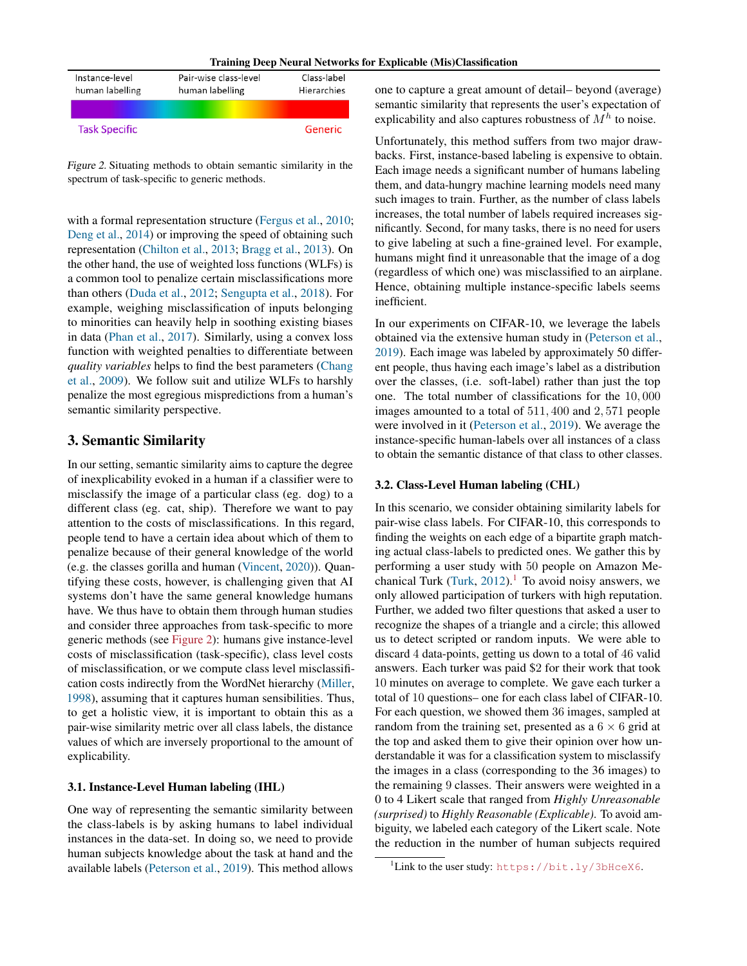| Training Deep Neural Networks for Explicable (Mis)Classification |  |  |
|------------------------------------------------------------------|--|--|
|------------------------------------------------------------------|--|--|

<span id="page-2-0"></span>

| Instance-level<br>human labelling | Pair-wise class-level<br>human labelling | Class-label<br>Hierarchies |
|-----------------------------------|------------------------------------------|----------------------------|
|                                   |                                          |                            |
| <b>Task Specific</b>              |                                          | Generic                    |

Figure 2. Situating methods to obtain semantic similarity in the spectrum of task-specific to generic methods.

with a formal representation structure [\(Fergus et al.,](#page-8-0) [2010;](#page-8-0) [Deng et al.,](#page-8-0) [2014\)](#page-8-0) or improving the speed of obtaining such representation [\(Chilton et al.,](#page-7-0) [2013;](#page-7-0) [Bragg et al.,](#page-7-0) [2013\)](#page-7-0). On the other hand, the use of weighted loss functions (WLFs) is a common tool to penalize certain misclassifications more than others [\(Duda et al.,](#page-8-0) [2012;](#page-8-0) [Sengupta et al.,](#page-9-0) [2018\)](#page-9-0). For example, weighing misclassification of inputs belonging to minorities can heavily help in soothing existing biases in data [\(Phan et al.,](#page-8-0) [2017\)](#page-8-0). Similarly, using a convex loss function with weighted penalties to differentiate between *quality variables* helps to find the best parameters [\(Chang](#page-7-0) [et al.,](#page-7-0) [2009\)](#page-7-0). We follow suit and utilize WLFs to harshly penalize the most egregious mispredictions from a human's semantic similarity perspective.

# 3. Semantic Similarity

In our setting, semantic similarity aims to capture the degree of inexplicability evoked in a human if a classifier were to misclassify the image of a particular class (eg. dog) to a different class (eg. cat, ship). Therefore we want to pay attention to the costs of misclassifications. In this regard, people tend to have a certain idea about which of them to penalize because of their general knowledge of the world (e.g. the classes gorilla and human [\(Vincent,](#page-9-0) [2020\)](#page-9-0)). Quantifying these costs, however, is challenging given that AI systems don't have the same general knowledge humans have. We thus have to obtain them through human studies and consider three approaches from task-specific to more generic methods (see Figure 2): humans give instance-level costs of misclassification (task-specific), class level costs of misclassification, or we compute class level misclassification costs indirectly from the WordNet hierarchy [\(Miller,](#page-8-0) [1998\)](#page-8-0), assuming that it captures human sensibilities. Thus, to get a holistic view, it is important to obtain this as a pair-wise similarity metric over all class labels, the distance values of which are inversely proportional to the amount of explicability.

#### 3.1. Instance-Level Human labeling (IHL)

One way of representing the semantic similarity between the class-labels is by asking humans to label individual instances in the data-set. In doing so, we need to provide human subjects knowledge about the task at hand and the available labels [\(Peterson et al.,](#page-8-0) [2019\)](#page-8-0). This method allows one to capture a great amount of detail– beyond (average) semantic similarity that represents the user's expectation of explicability and also captures robustness of  $M<sup>h</sup>$  to noise.

Unfortunately, this method suffers from two major drawbacks. First, instance-based labeling is expensive to obtain. Each image needs a significant number of humans labeling them, and data-hungry machine learning models need many such images to train. Further, as the number of class labels increases, the total number of labels required increases significantly. Second, for many tasks, there is no need for users to give labeling at such a fine-grained level. For example, humans might find it unreasonable that the image of a dog (regardless of which one) was misclassified to an airplane. Hence, obtaining multiple instance-specific labels seems inefficient.

In our experiments on CIFAR-10, we leverage the labels obtained via the extensive human study in [\(Peterson et al.,](#page-8-0) [2019\)](#page-8-0). Each image was labeled by approximately 50 different people, thus having each image's label as a distribution over the classes, (i.e. soft-label) rather than just the top one. The total number of classifications for the 10, 000 images amounted to a total of 511, 400 and 2, 571 people were involved in it [\(Peterson et al.,](#page-8-0) [2019\)](#page-8-0). We average the instance-specific human-labels over all instances of a class to obtain the semantic distance of that class to other classes.

### 3.2. Class-Level Human labeling (CHL)

In this scenario, we consider obtaining similarity labels for pair-wise class labels. For CIFAR-10, this corresponds to finding the weights on each edge of a bipartite graph matching actual class-labels to predicted ones. We gather this by performing a user study with 50 people on Amazon Me-chanical Turk [\(Turk,](#page-9-0)  $2012$ ).<sup>1</sup> To avoid noisy answers, we only allowed participation of turkers with high reputation. Further, we added two filter questions that asked a user to recognize the shapes of a triangle and a circle; this allowed us to detect scripted or random inputs. We were able to discard 4 data-points, getting us down to a total of 46 valid answers. Each turker was paid \$2 for their work that took 10 minutes on average to complete. We gave each turker a total of 10 questions– one for each class label of CIFAR-10. For each question, we showed them 36 images, sampled at random from the training set, presented as a  $6 \times 6$  grid at the top and asked them to give their opinion over how understandable it was for a classification system to misclassify the images in a class (corresponding to the 36 images) to the remaining 9 classes. Their answers were weighted in a 0 to 4 Likert scale that ranged from *Highly Unreasonable (surprised)* to *Highly Reasonable (Explicable)*. To avoid ambiguity, we labeled each category of the Likert scale. Note the reduction in the number of human subjects required

<sup>&</sup>lt;sup>1</sup>Link to the user study: <https://bit.ly/3bHceX6>.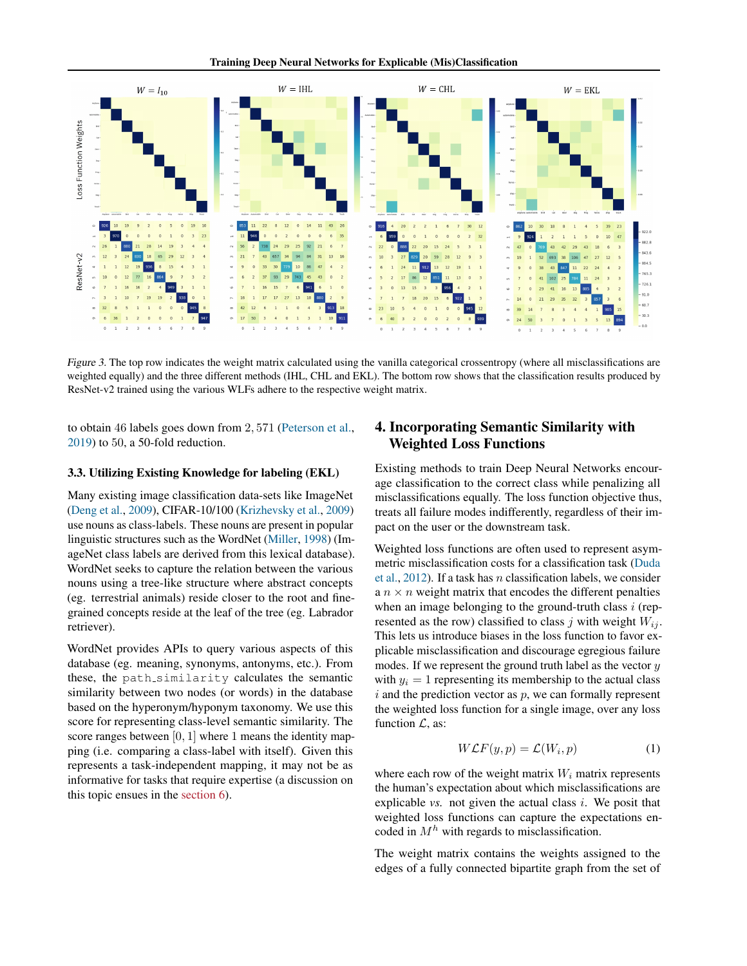Training Deep Neural Networks for Explicable (Mis)Classification

<span id="page-3-0"></span>

Figure 3. The top row indicates the weight matrix calculated using the vanilla categorical crossentropy (where all misclassifications are weighted equally) and the three different methods (IHL, CHL and EKL). The bottom row shows that the classification results produced by ResNet-v2 trained using the various WLFs adhere to the respective weight matrix.

to obtain 46 labels goes down from 2, 571 [\(Peterson et al.,](#page-8-0) [2019\)](#page-8-0) to 50, a 50-fold reduction.

#### 3.3. Utilizing Existing Knowledge for labeling (EKL)

Many existing image classification data-sets like ImageNet [\(Deng et al.,](#page-7-0) [2009\)](#page-7-0), CIFAR-10/100 [\(Krizhevsky et al.,](#page-8-0) [2009\)](#page-8-0) use nouns as class-labels. These nouns are present in popular linguistic structures such as the WordNet [\(Miller,](#page-8-0) [1998\)](#page-8-0) (ImageNet class labels are derived from this lexical database). WordNet seeks to capture the relation between the various nouns using a tree-like structure where abstract concepts (eg. terrestrial animals) reside closer to the root and finegrained concepts reside at the leaf of the tree (eg. Labrador retriever).

WordNet provides APIs to query various aspects of this database (eg. meaning, synonyms, antonyms, etc.). From these, the path\_similarity calculates the semantic similarity between two nodes (or words) in the database based on the hyperonym/hyponym taxonomy. We use this score for representing class-level semantic similarity. The score ranges between  $[0, 1]$  where 1 means the identity mapping (i.e. comparing a class-label with itself). Given this represents a task-independent mapping, it may not be as informative for tasks that require expertise (a discussion on this topic ensues in the [section 6\)](#page-7-0).

# 4. Incorporating Semantic Similarity with Weighted Loss Functions

Existing methods to train Deep Neural Networks encourage classification to the correct class while penalizing all misclassifications equally. The loss function objective thus, treats all failure modes indifferently, regardless of their impact on the user or the downstream task.

Weighted loss functions are often used to represent asymmetric misclassification costs for a classification task [\(Duda](#page-8-0) [et al.,](#page-8-0)  $2012$ ). If a task has *n* classification labels, we consider a  $n \times n$  weight matrix that encodes the different penalties when an image belonging to the ground-truth class  $i$  (represented as the row) classified to class j with weight  $W_{ij}$ . This lets us introduce biases in the loss function to favor explicable misclassification and discourage egregious failure modes. If we represent the ground truth label as the vector  $y$ with  $y_i = 1$  representing its membership to the actual class  $i$  and the prediction vector as  $p$ , we can formally represent the weighted loss function for a single image, over any loss function  $\mathcal{L}$ , as:

$$
W\mathcal{L}F(y,p) = \mathcal{L}(W_i, p) \tag{1}
$$

where each row of the weight matrix  $W_i$  matrix represents the human's expectation about which misclassifications are explicable  $vs.$  not given the actual class  $i.$  We posit that weighted loss functions can capture the expectations encoded in  $M<sup>h</sup>$  with regards to misclassification.

The weight matrix contains the weights assigned to the edges of a fully connected bipartite graph from the set of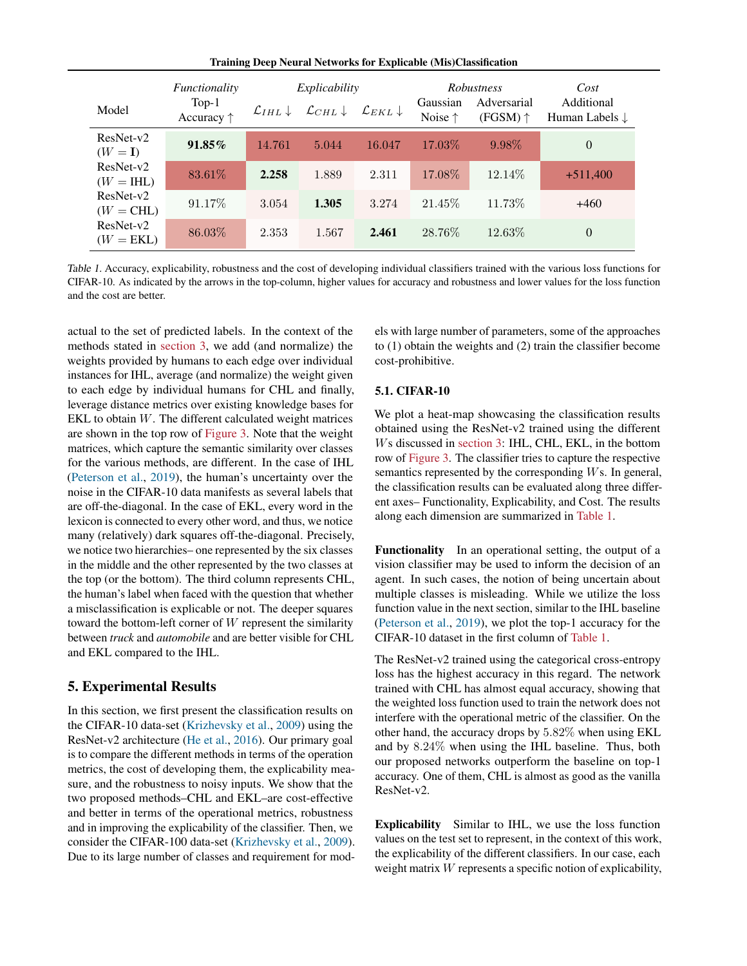Training Deep Neural Networks for Explicable (Mis)Classification

<span id="page-4-0"></span>

|                            | Functionality                  | Explicability                 |                                | <b>Robustness</b>   |                              | Cost                             |                                         |
|----------------------------|--------------------------------|-------------------------------|--------------------------------|---------------------|------------------------------|----------------------------------|-----------------------------------------|
| Model                      | $Top-1$<br>Accuracy $\uparrow$ | $\mathcal{L}_{IHL}\downarrow$ | $\mathcal{L}_{CHL} \downarrow$ | $\mathcal{L}_{EKL}$ | Gaussian<br>Noise $\uparrow$ | Adversarial<br>(FGSM) $\uparrow$ | Additional<br>Human Labels $\downarrow$ |
| $ResNet-v2$<br>$(W = I)$   | 91.85%                         | 14.761                        | 5.044                          | 16.047              | 17.03\%                      | $9.98\%$                         | $\theta$                                |
| $ResNet-v2$<br>$(W = IHL)$ | 83.61\%                        | 2.258                         | 1.889                          | 2.311               | 17.08\%                      | 12.14\%                          | $+511,400$                              |
| $ResNet-v2$<br>$(W = CHL)$ | 91.17%                         | 3.054                         | 1.305                          | 3.274               | 21.45\%                      | 11.73\%                          | $+460$                                  |
| ResNet-v2<br>$(W = EKL)$   | 86.03\%                        | 2.353                         | 1.567                          | 2.461               | 28.76%                       | 12.63\%                          | $\overline{0}$                          |

Table 1. Accuracy, explicability, robustness and the cost of developing individual classifiers trained with the various loss functions for CIFAR-10. As indicated by the arrows in the top-column, higher values for accuracy and robustness and lower values for the loss function and the cost are better.

actual to the set of predicted labels. In the context of the methods stated in [section 3,](#page-2-0) we add (and normalize) the weights provided by humans to each edge over individual instances for IHL, average (and normalize) the weight given to each edge by individual humans for CHL and finally, leverage distance metrics over existing knowledge bases for EKL to obtain  $W$ . The different calculated weight matrices are shown in the top row of [Figure 3.](#page-3-0) Note that the weight matrices, which capture the semantic similarity over classes for the various methods, are different. In the case of IHL [\(Peterson et al.,](#page-8-0) [2019\)](#page-8-0), the human's uncertainty over the noise in the CIFAR-10 data manifests as several labels that are off-the-diagonal. In the case of EKL, every word in the lexicon is connected to every other word, and thus, we notice many (relatively) dark squares off-the-diagonal. Precisely, we notice two hierarchies– one represented by the six classes in the middle and the other represented by the two classes at the top (or the bottom). The third column represents CHL, the human's label when faced with the question that whether a misclassification is explicable or not. The deeper squares toward the bottom-left corner of W represent the similarity between *truck* and *automobile* and are better visible for CHL and EKL compared to the IHL.

# 5. Experimental Results

In this section, we first present the classification results on the CIFAR-10 data-set [\(Krizhevsky et al.,](#page-8-0) [2009\)](#page-8-0) using the ResNet-v2 architecture [\(He et al.,](#page-8-0) [2016\)](#page-8-0). Our primary goal is to compare the different methods in terms of the operation metrics, the cost of developing them, the explicability measure, and the robustness to noisy inputs. We show that the two proposed methods–CHL and EKL–are cost-effective and better in terms of the operational metrics, robustness and in improving the explicability of the classifier. Then, we consider the CIFAR-100 data-set [\(Krizhevsky et al.,](#page-8-0) [2009\)](#page-8-0). Due to its large number of classes and requirement for models with large number of parameters, some of the approaches to (1) obtain the weights and (2) train the classifier become cost-prohibitive.

### 5.1. CIFAR-10

We plot a heat-map showcasing the classification results obtained using the ResNet-v2 trained using the different Ws discussed in [section 3:](#page-2-0) IHL, CHL, EKL, in the bottom row of [Figure 3.](#page-3-0) The classifier tries to capture the respective semantics represented by the corresponding Ws. In general, the classification results can be evaluated along three different axes– Functionality, Explicability, and Cost. The results along each dimension are summarized in Table 1.

Functionality In an operational setting, the output of a vision classifier may be used to inform the decision of an agent. In such cases, the notion of being uncertain about multiple classes is misleading. While we utilize the loss function value in the next section, similar to the IHL baseline [\(Peterson et al.,](#page-8-0) [2019\)](#page-8-0), we plot the top-1 accuracy for the CIFAR-10 dataset in the first column of Table 1.

The ResNet-v2 trained using the categorical cross-entropy loss has the highest accuracy in this regard. The network trained with CHL has almost equal accuracy, showing that the weighted loss function used to train the network does not interfere with the operational metric of the classifier. On the other hand, the accuracy drops by 5.82% when using EKL and by 8.24% when using the IHL baseline. Thus, both our proposed networks outperform the baseline on top-1 accuracy. One of them, CHL is almost as good as the vanilla ResNet-v2.

Explicability Similar to IHL, we use the loss function values on the test set to represent, in the context of this work, the explicability of the different classifiers. In our case, each weight matrix W represents a specific notion of explicability,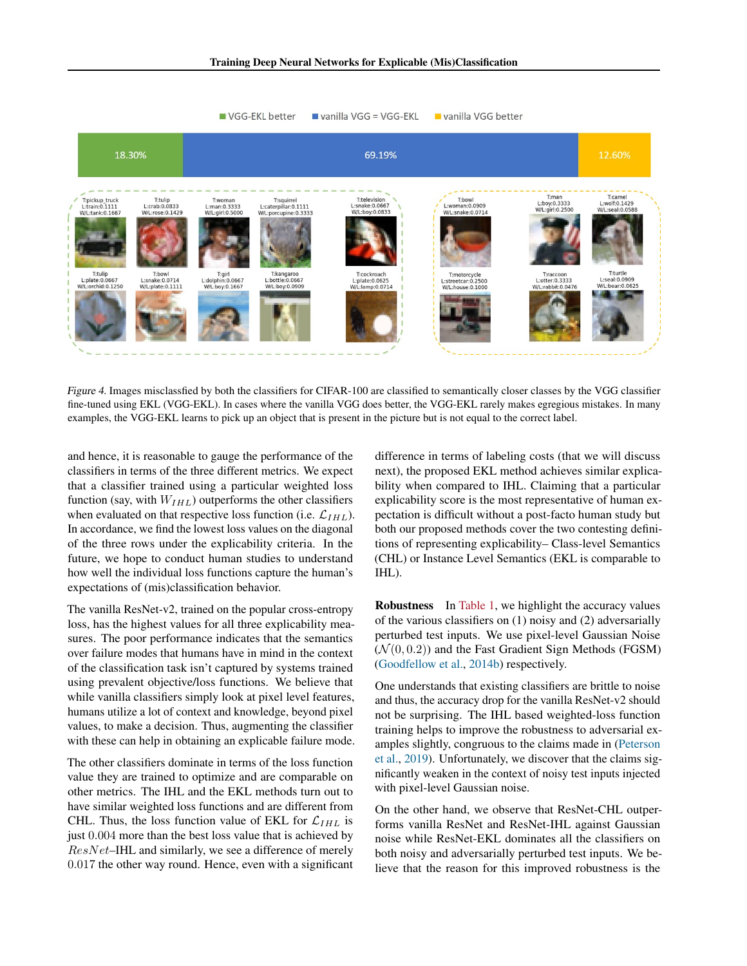<span id="page-5-0"></span>

Figure 4. Images misclassfied by both the classifiers for CIFAR-100 are classified to semantically closer classes by the VGG classifier fine-tuned using EKL (VGG-EKL). In cases where the vanilla VGG does better, the VGG-EKL rarely makes egregious mistakes. In many examples, the VGG-EKL learns to pick up an object that is present in the picture but is not equal to the correct label.

and hence, it is reasonable to gauge the performance of the classifiers in terms of the three different metrics. We expect that a classifier trained using a particular weighted loss function (say, with  $W_{IHL}$ ) outperforms the other classifiers when evaluated on that respective loss function (i.e.  $\mathcal{L}_{IHL}$ ). In accordance, we find the lowest loss values on the diagonal of the three rows under the explicability criteria. In the future, we hope to conduct human studies to understand how well the individual loss functions capture the human's expectations of (mis)classification behavior.

The vanilla ResNet-v2, trained on the popular cross-entropy loss, has the highest values for all three explicability measures. The poor performance indicates that the semantics over failure modes that humans have in mind in the context of the classification task isn't captured by systems trained using prevalent objective/loss functions. We believe that while vanilla classifiers simply look at pixel level features, humans utilize a lot of context and knowledge, beyond pixel values, to make a decision. Thus, augmenting the classifier with these can help in obtaining an explicable failure mode.

The other classifiers dominate in terms of the loss function value they are trained to optimize and are comparable on other metrics. The IHL and the EKL methods turn out to have similar weighted loss functions and are different from CHL. Thus, the loss function value of EKL for  $\mathcal{L}_{IHL}$  is just 0.004 more than the best loss value that is achieved by ResNet–IHL and similarly, we see a difference of merely 0.017 the other way round. Hence, even with a significant

difference in terms of labeling costs (that we will discuss next), the proposed EKL method achieves similar explicability when compared to IHL. Claiming that a particular explicability score is the most representative of human expectation is difficult without a post-facto human study but both our proposed methods cover the two contesting definitions of representing explicability– Class-level Semantics (CHL) or Instance Level Semantics (EKL is comparable to IHL).

Robustness In [Table 1,](#page-4-0) we highlight the accuracy values of the various classifiers on (1) noisy and (2) adversarially perturbed test inputs. We use pixel-level Gaussian Noise  $(N(0, 0.2))$  and the Fast Gradient Sign Methods (FGSM) [\(Goodfellow et al.,](#page-8-0) [2014b\)](#page-8-0) respectively.

One understands that existing classifiers are brittle to noise and thus, the accuracy drop for the vanilla ResNet-v2 should not be surprising. The IHL based weighted-loss function training helps to improve the robustness to adversarial examples slightly, congruous to the claims made in [\(Peterson](#page-8-0) [et al.,](#page-8-0) [2019\)](#page-8-0). Unfortunately, we discover that the claims significantly weaken in the context of noisy test inputs injected with pixel-level Gaussian noise.

On the other hand, we observe that ResNet-CHL outperforms vanilla ResNet and ResNet-IHL against Gaussian noise while ResNet-EKL dominates all the classifiers on both noisy and adversarially perturbed test inputs. We believe that the reason for this improved robustness is the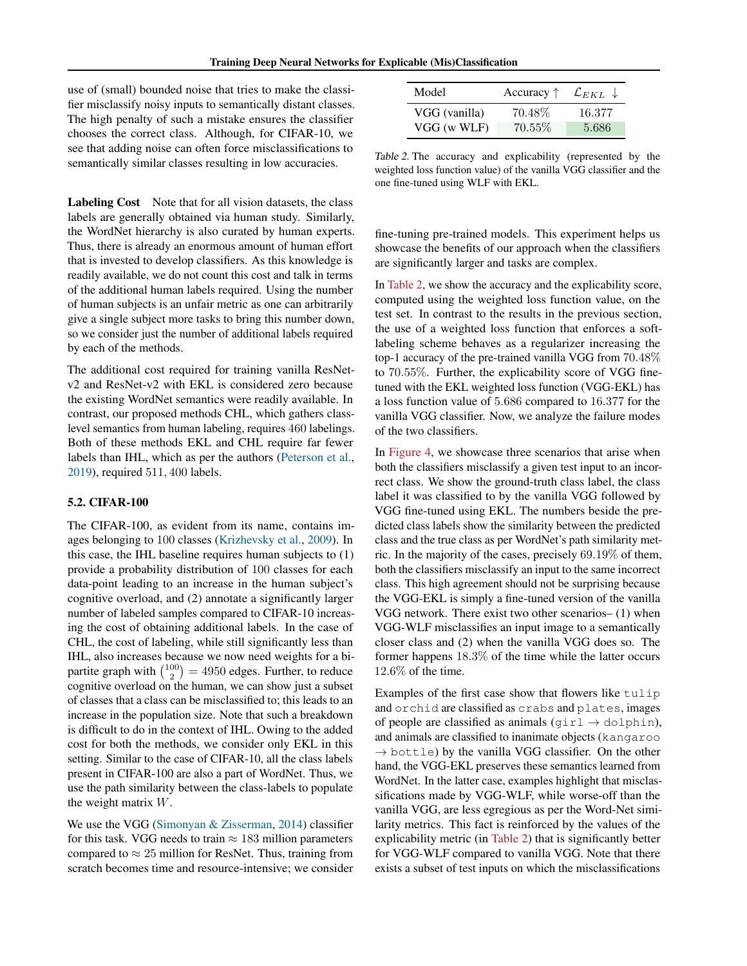use of (small) bounded noise that tries to make the classifier misclassify noisy inputs to semantically distant classes. The high penalty of such a mistake ensures the classifier chooses the correct class. Although, for CIFAR-10, we see that adding noise can often force misclassifications to semantically similar classes resulting in low accuracies.

Labeling Cost Note that for all vision datasets, the class labels are generally obtained via human study. Similarly, the WordNet hierarchy is also curated by human experts. Thus, there is already an enormous amount of human effort that is invested to develop classifiers. As this knowledge is readily available, we do not count this cost and talk in terms of the additional human labels required. Using the number of human subjects is an unfair metric as one can arbitrarily give a single subject more tasks to bring this number down, so we consider just the number of additional labels required by each of the methods.

The additional cost required for training vanilla ResNetv2 and ResNet-v2 with EKL is considered zero because the existing WordNet semantics were readily available. In contrast, our proposed methods CHL, which gathers classlevel semantics from human labeling, requires 460 labelings. Both of these methods EKL and CHL require far fewer labels than IHL, which as per the authors [\(Peterson et al.,](#page-8-0) [2019\)](#page-8-0), required 511, 400 labels.

# 5.2. CIFAR-100

The CIFAR-100, as evident from its name, contains images belonging to 100 classes [\(Krizhevsky et al.,](#page-8-0) [2009\)](#page-8-0). In this case, the IHL baseline requires human subjects to (1) provide a probability distribution of 100 classes for each data-point leading to an increase in the human subject's cognitive overload, and (2) annotate a significantly larger number of labeled samples compared to CIFAR-10 increasing the cost of obtaining additional labels. In the case of CHL, the cost of labeling, while still significantly less than IHL, also increases because we now need weights for a bipartite graph with  $\binom{100}{2} = 4950$  edges. Further, to reduce cognitive overload on the human, we can show just a subset of classes that a class can be misclassified to; this leads to an increase in the population size. Note that such a breakdown is difficult to do in the context of IHL. Owing to the added cost for both the methods, we consider only EKL in this setting. Similar to the case of CIFAR-10, all the class labels present in CIFAR-100 are also a part of WordNet. Thus, we use the path similarity between the class-labels to populate the weight matrix W.

We use the VGG [\(Simonyan & Zisserman,](#page-9-0) [2014\)](#page-9-0) classifier for this task. VGG needs to train  $\approx 183$  million parameters compared to  $\approx 25$  million for ResNet. Thus, training from scratch becomes time and resource-intensive; we consider

| Model         | Accuracy $\uparrow$ | $\mathcal{L}_{EKL}$ |
|---------------|---------------------|---------------------|
| VGG (vanilla) | 70.48\%             | 16.377              |
| VGG (w WLF)   | $70.55\%$           | 5.686               |

Table 2. The accuracy and explicability (represented by the weighted loss function value) of the vanilla VGG classifier and the one fine-tuned using WLF with EKL.

fine-tuning pre-trained models. This experiment helps us showcase the benefits of our approach when the classifiers are significantly larger and tasks are complex.

In Table 2, we show the accuracy and the explicability score, computed using the weighted loss function value, on the test set. In contrast to the results in the previous section, the use of a weighted loss function that enforces a softlabeling scheme behaves as a regularizer increasing the top-1 accuracy of the pre-trained vanilla VGG from 70.48% to 70.55%. Further, the explicability score of VGG finetuned with the EKL weighted loss function (VGG-EKL) has a loss function value of 5.686 compared to 16.377 for the vanilla VGG classifier. Now, we analyze the failure modes of the two classifiers.

In [Figure 4,](#page-5-0) we showcase three scenarios that arise when both the classifiers misclassify a given test input to an incorrect class. We show the ground-truth class label, the class label it was classified to by the vanilla VGG followed by VGG fine-tuned using EKL. The numbers beside the predicted class labels show the similarity between the predicted class and the true class as per WordNet's path similarity metric. In the majority of the cases, precisely 69.19% of them, both the classifiers misclassify an input to the same incorrect class. This high agreement should not be surprising because the VGG-EKL is simply a fine-tuned version of the vanilla VGG network. There exist two other scenarios– (1) when VGG-WLF misclassifies an input image to a semantically closer class and (2) when the vanilla VGG does so. The former happens 18.3% of the time while the latter occurs 12.6% of the time.

Examples of the first case show that flowers like tulip and orchid are classified as crabs and plates, images of people are classified as animals (girl  $\rightarrow$  dolphin), and animals are classified to inanimate objects (kangaroo  $\rightarrow$  bottle) by the vanilla VGG classifier. On the other hand, the VGG-EKL preserves these semantics learned from WordNet. In the latter case, examples highlight that misclassifications made by VGG-WLF, while worse-off than the vanilla VGG, are less egregious as per the Word-Net similarity metrics. This fact is reinforced by the values of the explicability metric (in Table 2) that is significantly better for VGG-WLF compared to vanilla VGG. Note that there exists a subset of test inputs on which the misclassifications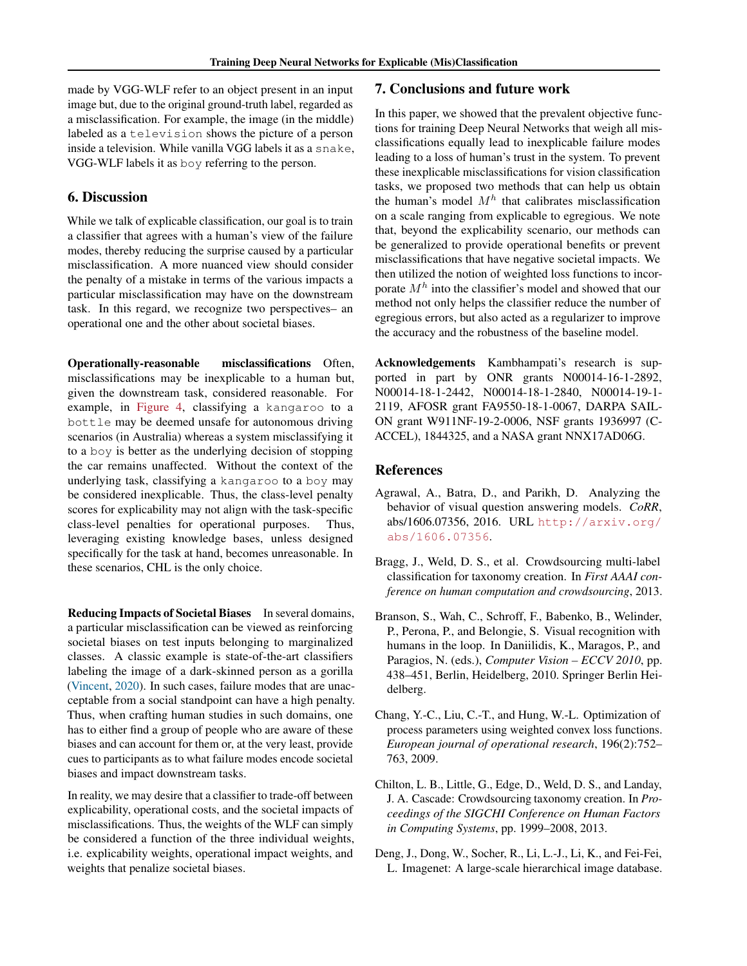<span id="page-7-0"></span>made by VGG-WLF refer to an object present in an input image but, due to the original ground-truth label, regarded as a misclassification. For example, the image (in the middle) labeled as a television shows the picture of a person inside a television. While vanilla VGG labels it as a snake, VGG-WLF labels it as boy referring to the person.

# 6. Discussion

While we talk of explicable classification, our goal is to train a classifier that agrees with a human's view of the failure modes, thereby reducing the surprise caused by a particular misclassification. A more nuanced view should consider the penalty of a mistake in terms of the various impacts a particular misclassification may have on the downstream task. In this regard, we recognize two perspectives– an operational one and the other about societal biases.

Operationally-reasonable misclassifications Often, misclassifications may be inexplicable to a human but, given the downstream task, considered reasonable. For example, in [Figure 4,](#page-5-0) classifying a kangaroo to a bottle may be deemed unsafe for autonomous driving scenarios (in Australia) whereas a system misclassifying it to a boy is better as the underlying decision of stopping the car remains unaffected. Without the context of the underlying task, classifying a kangaroo to a boy may be considered inexplicable. Thus, the class-level penalty scores for explicability may not align with the task-specific class-level penalties for operational purposes. Thus, leveraging existing knowledge bases, unless designed specifically for the task at hand, becomes unreasonable. In these scenarios, CHL is the only choice.

Reducing Impacts of Societal Biases In several domains, a particular misclassification can be viewed as reinforcing societal biases on test inputs belonging to marginalized classes. A classic example is state-of-the-art classifiers labeling the image of a dark-skinned person as a gorilla [\(Vincent,](#page-9-0) [2020\)](#page-9-0). In such cases, failure modes that are unacceptable from a social standpoint can have a high penalty. Thus, when crafting human studies in such domains, one has to either find a group of people who are aware of these biases and can account for them or, at the very least, provide cues to participants as to what failure modes encode societal biases and impact downstream tasks.

In reality, we may desire that a classifier to trade-off between explicability, operational costs, and the societal impacts of misclassifications. Thus, the weights of the WLF can simply be considered a function of the three individual weights, i.e. explicability weights, operational impact weights, and weights that penalize societal biases.

# 7. Conclusions and future work

In this paper, we showed that the prevalent objective functions for training Deep Neural Networks that weigh all misclassifications equally lead to inexplicable failure modes leading to a loss of human's trust in the system. To prevent these inexplicable misclassifications for vision classification tasks, we proposed two methods that can help us obtain the human's model  $M<sup>h</sup>$  that calibrates misclassification on a scale ranging from explicable to egregious. We note that, beyond the explicability scenario, our methods can be generalized to provide operational benefits or prevent misclassifications that have negative societal impacts. We then utilized the notion of weighted loss functions to incorporate  $M<sup>h</sup>$  into the classifier's model and showed that our method not only helps the classifier reduce the number of egregious errors, but also acted as a regularizer to improve the accuracy and the robustness of the baseline model.

Acknowledgements Kambhampati's research is supported in part by ONR grants N00014-16-1-2892, N00014-18-1-2442, N00014-18-1-2840, N00014-19-1- 2119, AFOSR grant FA9550-18-1-0067, DARPA SAIL-ON grant W911NF-19-2-0006, NSF grants 1936997 (C-ACCEL), 1844325, and a NASA grant NNX17AD06G.

### References

- Agrawal, A., Batra, D., and Parikh, D. Analyzing the behavior of visual question answering models. *CoRR*, abs/1606.07356, 2016. URL [http://arxiv.org/](http://arxiv.org/abs/1606.07356) [abs/1606.07356](http://arxiv.org/abs/1606.07356).
- Bragg, J., Weld, D. S., et al. Crowdsourcing multi-label classification for taxonomy creation. In *First AAAI conference on human computation and crowdsourcing*, 2013.
- Branson, S., Wah, C., Schroff, F., Babenko, B., Welinder, P., Perona, P., and Belongie, S. Visual recognition with humans in the loop. In Daniilidis, K., Maragos, P., and Paragios, N. (eds.), *Computer Vision – ECCV 2010*, pp. 438–451, Berlin, Heidelberg, 2010. Springer Berlin Heidelberg.
- Chang, Y.-C., Liu, C.-T., and Hung, W.-L. Optimization of process parameters using weighted convex loss functions. *European journal of operational research*, 196(2):752– 763, 2009.
- Chilton, L. B., Little, G., Edge, D., Weld, D. S., and Landay, J. A. Cascade: Crowdsourcing taxonomy creation. In *Proceedings of the SIGCHI Conference on Human Factors in Computing Systems*, pp. 1999–2008, 2013.
- Deng, J., Dong, W., Socher, R., Li, L.-J., Li, K., and Fei-Fei, L. Imagenet: A large-scale hierarchical image database.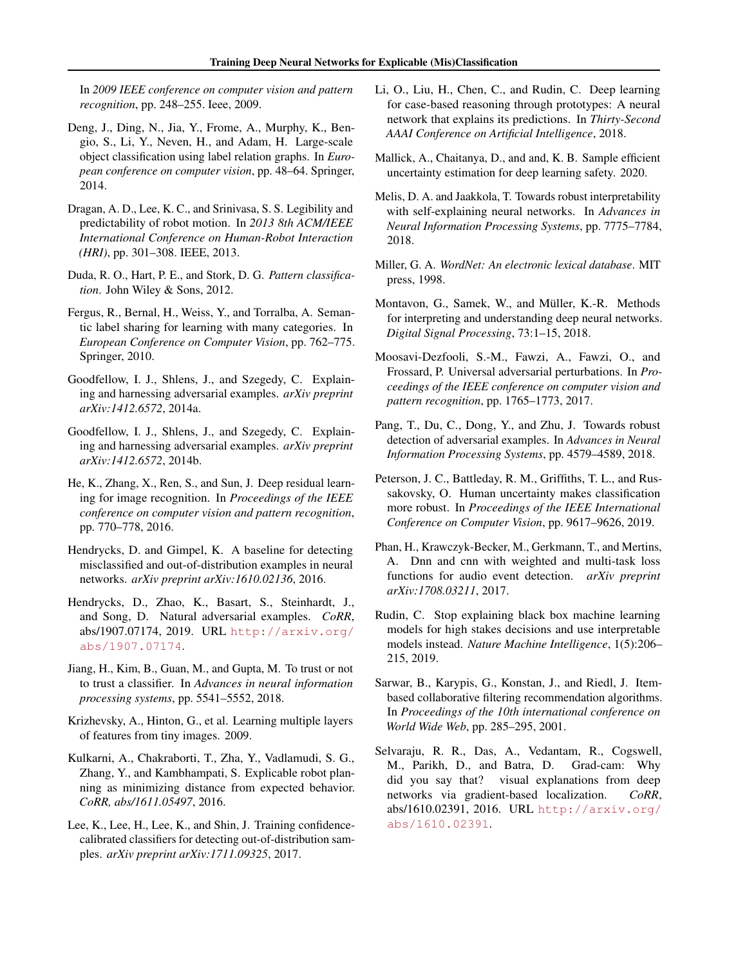<span id="page-8-0"></span>In *2009 IEEE conference on computer vision and pattern recognition*, pp. 248–255. Ieee, 2009.

- Deng, J., Ding, N., Jia, Y., Frome, A., Murphy, K., Bengio, S., Li, Y., Neven, H., and Adam, H. Large-scale object classification using label relation graphs. In *European conference on computer vision*, pp. 48–64. Springer, 2014.
- Dragan, A. D., Lee, K. C., and Srinivasa, S. S. Legibility and predictability of robot motion. In *2013 8th ACM/IEEE International Conference on Human-Robot Interaction (HRI)*, pp. 301–308. IEEE, 2013.
- Duda, R. O., Hart, P. E., and Stork, D. G. *Pattern classification*. John Wiley & Sons, 2012.
- Fergus, R., Bernal, H., Weiss, Y., and Torralba, A. Semantic label sharing for learning with many categories. In *European Conference on Computer Vision*, pp. 762–775. Springer, 2010.
- Goodfellow, I. J., Shlens, J., and Szegedy, C. Explaining and harnessing adversarial examples. *arXiv preprint arXiv:1412.6572*, 2014a.
- Goodfellow, I. J., Shlens, J., and Szegedy, C. Explaining and harnessing adversarial examples. *arXiv preprint arXiv:1412.6572*, 2014b.
- He, K., Zhang, X., Ren, S., and Sun, J. Deep residual learning for image recognition. In *Proceedings of the IEEE conference on computer vision and pattern recognition*, pp. 770–778, 2016.
- Hendrycks, D. and Gimpel, K. A baseline for detecting misclassified and out-of-distribution examples in neural networks. *arXiv preprint arXiv:1610.02136*, 2016.
- Hendrycks, D., Zhao, K., Basart, S., Steinhardt, J., and Song, D. Natural adversarial examples. *CoRR*, abs/1907.07174, 2019. URL [http://arxiv.org/](http://arxiv.org/abs/1907.07174) [abs/1907.07174](http://arxiv.org/abs/1907.07174).
- Jiang, H., Kim, B., Guan, M., and Gupta, M. To trust or not to trust a classifier. In *Advances in neural information processing systems*, pp. 5541–5552, 2018.
- Krizhevsky, A., Hinton, G., et al. Learning multiple layers of features from tiny images. 2009.
- Kulkarni, A., Chakraborti, T., Zha, Y., Vadlamudi, S. G., Zhang, Y., and Kambhampati, S. Explicable robot planning as minimizing distance from expected behavior. *CoRR, abs/1611.05497*, 2016.
- Lee, K., Lee, H., Lee, K., and Shin, J. Training confidencecalibrated classifiers for detecting out-of-distribution samples. *arXiv preprint arXiv:1711.09325*, 2017.
- Li, O., Liu, H., Chen, C., and Rudin, C. Deep learning for case-based reasoning through prototypes: A neural network that explains its predictions. In *Thirty-Second AAAI Conference on Artificial Intelligence*, 2018.
- Mallick, A., Chaitanya, D., and and, K. B. Sample efficient uncertainty estimation for deep learning safety. 2020.
- Melis, D. A. and Jaakkola, T. Towards robust interpretability with self-explaining neural networks. In *Advances in Neural Information Processing Systems*, pp. 7775–7784, 2018.
- Miller, G. A. *WordNet: An electronic lexical database*. MIT press, 1998.
- Montavon, G., Samek, W., and Müller, K.-R. Methods for interpreting and understanding deep neural networks. *Digital Signal Processing*, 73:1–15, 2018.
- Moosavi-Dezfooli, S.-M., Fawzi, A., Fawzi, O., and Frossard, P. Universal adversarial perturbations. In *Proceedings of the IEEE conference on computer vision and pattern recognition*, pp. 1765–1773, 2017.
- Pang, T., Du, C., Dong, Y., and Zhu, J. Towards robust detection of adversarial examples. In *Advances in Neural Information Processing Systems*, pp. 4579–4589, 2018.
- Peterson, J. C., Battleday, R. M., Griffiths, T. L., and Russakovsky, O. Human uncertainty makes classification more robust. In *Proceedings of the IEEE International Conference on Computer Vision*, pp. 9617–9626, 2019.
- Phan, H., Krawczyk-Becker, M., Gerkmann, T., and Mertins, A. Dnn and cnn with weighted and multi-task loss functions for audio event detection. *arXiv preprint arXiv:1708.03211*, 2017.
- Rudin, C. Stop explaining black box machine learning models for high stakes decisions and use interpretable models instead. *Nature Machine Intelligence*, 1(5):206– 215, 2019.
- Sarwar, B., Karypis, G., Konstan, J., and Riedl, J. Itembased collaborative filtering recommendation algorithms. In *Proceedings of the 10th international conference on World Wide Web*, pp. 285–295, 2001.
- Selvaraju, R. R., Das, A., Vedantam, R., Cogswell, M., Parikh, D., and Batra, D. Grad-cam: Why did you say that? visual explanations from deep networks via gradient-based localization. *CoRR*, abs/1610.02391, 2016. URL [http://arxiv.org/](http://arxiv.org/abs/1610.02391) [abs/1610.02391](http://arxiv.org/abs/1610.02391).